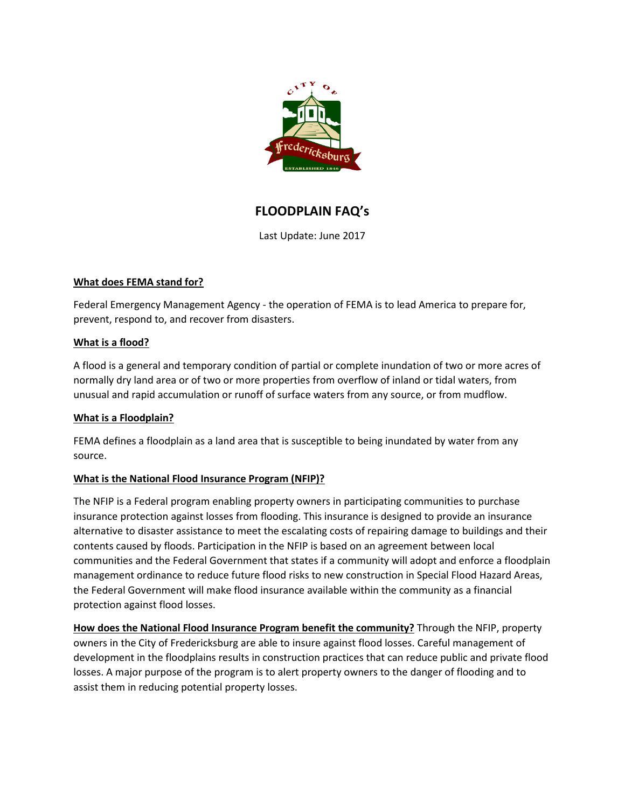

# **FLOODPLAIN FAQ's**

Last Update: June 2017

# **What does FEMA stand for?**

Federal Emergency Management Agency - the operation of FEMA is to lead America to prepare for, prevent, respond to, and recover from disasters.

## **What is a flood?**

A flood is a general and temporary condition of partial or complete inundation of two or more acres of normally dry land area or of two or more properties from overflow of inland or tidal waters, from unusual and rapid accumulation or runoff of surface waters from any source, or from mudflow.

# **What is a Floodplain?**

FEMA defines a floodplain as a land area that is susceptible to being inundated by water from any source.

# **What is the National Flood Insurance Program (NFIP)?**

The NFIP is a Federal program enabling property owners in participating communities to purchase insurance protection against losses from flooding. This insurance is designed to provide an insurance alternative to disaster assistance to meet the escalating costs of repairing damage to buildings and their contents caused by floods. Participation in the NFIP is based on an agreement between local communities and the Federal Government that states if a community will adopt and enforce a floodplain management ordinance to reduce future flood risks to new construction in Special Flood Hazard Areas, the Federal Government will make flood insurance available within the community as a financial protection against flood losses.

**How does the National Flood Insurance Program benefit the community?** Through the NFIP, property owners in the City of Fredericksburg are able to insure against flood losses. Careful management of development in the floodplains results in construction practices that can reduce public and private flood losses. A major purpose of the program is to alert property owners to the danger of flooding and to assist them in reducing potential property losses.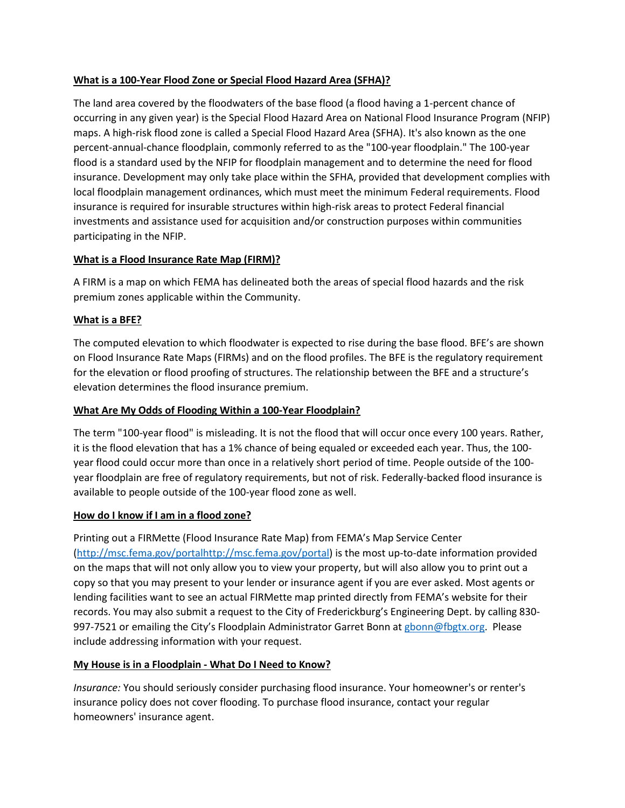## **What is a 100-Year Flood Zone or Special Flood Hazard Area (SFHA)?**

The land area covered by the floodwaters of the base flood (a flood having a 1-percent chance of occurring in any given year) is the Special Flood Hazard Area on National Flood Insurance Program (NFIP) maps. A high-risk flood zone is called a Special Flood Hazard Area (SFHA). It's also known as the one percent-annual-chance floodplain, commonly referred to as the "100-year floodplain." The 100-year flood is a standard used by the NFIP for floodplain management and to determine the need for flood insurance. Development may only take place within the SFHA, provided that development complies with local floodplain management ordinances, which must meet the minimum Federal requirements. Flood insurance is required for insurable structures within high-risk areas to protect Federal financial investments and assistance used for acquisition and/or construction purposes within communities participating in the NFIP.

# **What is a Flood Insurance Rate Map (FIRM)?**

A FIRM is a map on which FEMA has delineated both the areas of special flood hazards and the risk premium zones applicable within the Community.

## **What is a BFE?**

The computed elevation to which floodwater is expected to rise during the base flood. BFE's are shown on Flood Insurance Rate Maps (FIRMs) and on the flood profiles. The BFE is the regulatory requirement for the elevation or flood proofing of structures. The relationship between the BFE and a structure's elevation determines the flood insurance premium.

## **What Are My Odds of Flooding Within a 100-Year Floodplain?**

The term "100-year flood" is misleading. It is not the flood that will occur once every 100 years. Rather, it is the flood elevation that has a 1% chance of being equaled or exceeded each year. Thus, the 100 year flood could occur more than once in a relatively short period of time. People outside of the 100 year floodplain are free of regulatory requirements, but not of risk. Federally-backed flood insurance is available to people outside of the 100-year flood zone as well.

#### **How do I know if I am in a flood zone?**

Printing out a FIRMette (Flood Insurance Rate Map) from FEMA's Map Service Center [\(http://msc.fema.gov/portalhttp://msc.fema.gov/portal\)](http://msc.fema.gov/portalhttp:/msc.fema.gov/portal) is the most up-to-date information provided on the maps that will not only allow you to view your property, but will also allow you to print out a copy so that you may present to your lender or insurance agent if you are ever asked. Most agents or lending facilities want to see an actual FIRMette map printed directly from FEMA's website for their records. You may also submit a request to the City of Frederickburg's Engineering Dept. by calling 830 997-7521 or emailing the City's Floodplain Administrator Garret Bonn a[t gbonn@fbgtx.org.](mailto:gbonn@fbgtx.org) Please include addressing information with your request.

# **My House is in a Floodplain - What Do I Need to Know?**

*Insurance:* You should seriously consider purchasing flood insurance. Your homeowner's or renter's insurance policy does not cover flooding. To purchase flood insurance, contact your regular homeowners' insurance agent.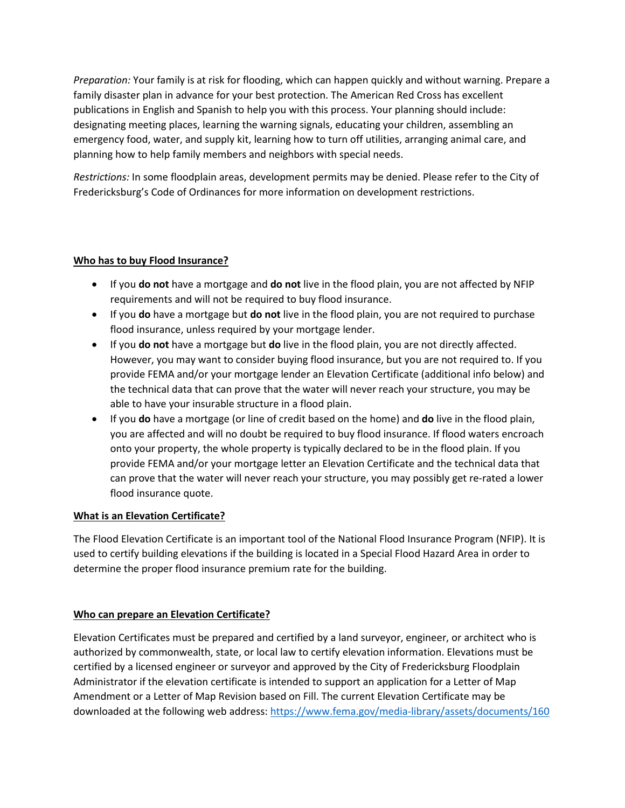*Preparation:* Your family is at risk for flooding, which can happen quickly and without warning. Prepare a family disaster plan in advance for your best protection. The American Red Cross has excellent publications in English and Spanish to help you with this process. Your planning should include: designating meeting places, learning the warning signals, educating your children, assembling an emergency food, water, and supply kit, learning how to turn off utilities, arranging animal care, and planning how to help family members and neighbors with special needs.

*Restrictions:* In some floodplain areas, development permits may be denied. Please refer to the City of Fredericksburg's Code of Ordinances for more information on development restrictions.

## **Who has to buy Flood Insurance?**

- If you **do not** have a mortgage and **do not** live in the flood plain, you are not affected by NFIP requirements and will not be required to buy flood insurance.
- If you **do** have a mortgage but **do not** live in the flood plain, you are not required to purchase flood insurance, unless required by your mortgage lender.
- If you **do not** have a mortgage but **do** live in the flood plain, you are not directly affected. However, you may want to consider buying flood insurance, but you are not required to. If you provide FEMA and/or your mortgage lender an Elevation Certificate (additional info below) and the technical data that can prove that the water will never reach your structure, you may be able to have your insurable structure in a flood plain.
- If you **do** have a mortgage (or line of credit based on the home) and **do** live in the flood plain, you are affected and will no doubt be required to buy flood insurance. If flood waters encroach onto your property, the whole property is typically declared to be in the flood plain. If you provide FEMA and/or your mortgage letter an Elevation Certificate and the technical data that can prove that the water will never reach your structure, you may possibly get re-rated a lower flood insurance quote.

# **What is an Elevation Certificate?**

The Flood Elevation Certificate is an important tool of the National Flood Insurance Program (NFIP). It is used to certify building elevations if the building is located in a Special Flood Hazard Area in order to determine the proper flood insurance premium rate for the building.

# **Who can prepare an Elevation Certificate?**

Elevation Certificates must be prepared and certified by a land surveyor, engineer, or architect who is authorized by commonwealth, state, or local law to certify elevation information. Elevations must be certified by a licensed engineer or surveyor and approved by the City of Fredericksburg Floodplain Administrator if the elevation certificate is intended to support an application for a Letter of Map Amendment or a Letter of Map Revision based on Fill. The current Elevation Certificate may be downloaded at the following web address:<https://www.fema.gov/media-library/assets/documents/160>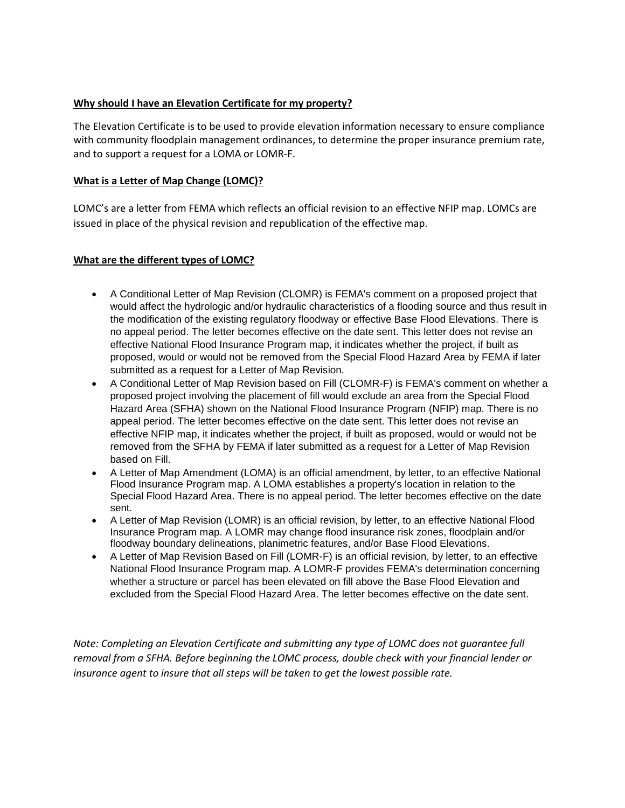## **Why should I have an Elevation Certificate for my property?**

The Elevation Certificate is to be used to provide elevation information necessary to ensure compliance with community floodplain management ordinances, to determine the proper insurance premium rate, and to support a request for a LOMA or LOMR-F.

## **What is a Letter of Map Change (LOMC)?**

LOMC's are a letter from FEMA which reflects an official revision to an effective NFIP map. LOMCs are issued in place of the physical revision and republication of the effective map.

#### **What are the different types of LOMC?**

- A Conditional Letter of Map Revision (CLOMR) is FEMA's comment on a proposed project that would affect the hydrologic and/or hydraulic characteristics of a flooding source and thus result in the modification of the existing regulatory floodway or effective Base Flood Elevations. There is no appeal period. The letter becomes effective on the date sent. This letter does not revise an effective National Flood Insurance Program map, it indicates whether the project, if built as proposed, would or would not be removed from the Special Flood Hazard Area by FEMA if later submitted as a request for a Letter of Map Revision.
- A Conditional Letter of Map Revision based on Fill (CLOMR-F) is FEMA's comment on whether a proposed project involving the placement of fill would exclude an area from the Special Flood Hazard Area (SFHA) shown on the National Flood Insurance Program (NFIP) map. There is no appeal period. The letter becomes effective on the date sent. This letter does not revise an effective NFIP map, it indicates whether the project, if built as proposed, would or would not be removed from the SFHA by FEMA if later submitted as a request for a Letter of Map Revision based on Fill.
- A Letter of Map Amendment (LOMA) is an official amendment, by letter, to an effective National Flood Insurance Program map. A LOMA establishes a property's location in relation to the Special Flood Hazard Area. There is no appeal period. The letter becomes effective on the date sent.
- A Letter of Map Revision (LOMR) is an official revision, by letter, to an effective National Flood Insurance Program map. A LOMR may change flood insurance risk zones, floodplain and/or floodway boundary delineations, planimetric features, and/or Base Flood Elevations.
- A Letter of Map Revision Based on Fill (LOMR-F) is an official revision, by letter, to an effective National Flood Insurance Program map. A LOMR-F provides FEMA's determination concerning whether a structure or parcel has been elevated on fill above the Base Flood Elevation and excluded from the Special Flood Hazard Area. The letter becomes effective on the date sent.

*Note: Completing an Elevation Certificate and submitting any type of LOMC does not guarantee full removal from a SFHA. Before beginning the LOMC process, double check with your financial lender or insurance agent to insure that all steps will be taken to get the lowest possible rate.*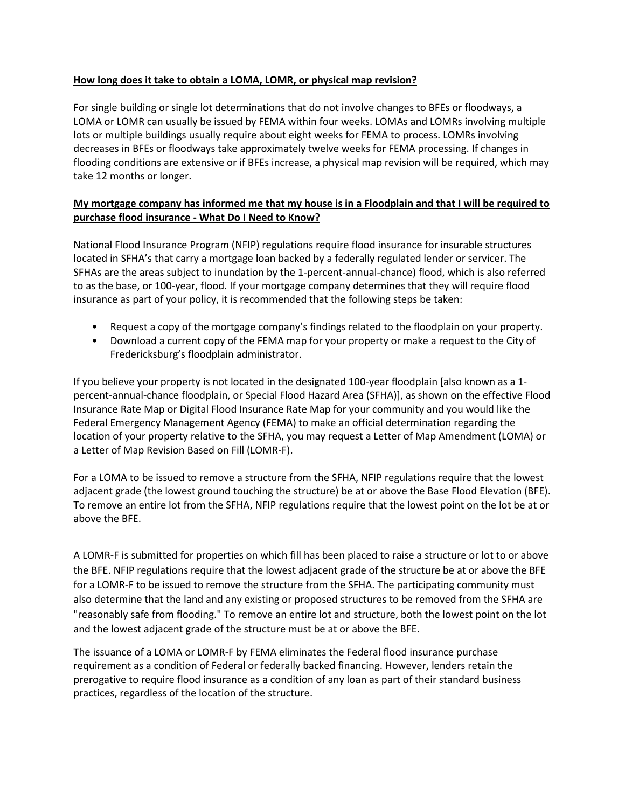## **How long does it take to obtain a LOMA, LOMR, or physical map revision?**

For single building or single lot determinations that do not involve changes to BFEs or floodways, a LOMA or LOMR can usually be issued by FEMA within four weeks. LOMAs and LOMRs involving multiple lots or multiple buildings usually require about eight weeks for FEMA to process. LOMRs involving decreases in BFEs or floodways take approximately twelve weeks for FEMA processing. If changes in flooding conditions are extensive or if BFEs increase, a physical map revision will be required, which may take 12 months or longer.

# **My mortgage company has informed me that my house is in a Floodplain and that I will be required to purchase flood insurance - What Do I Need to Know?**

National Flood Insurance Program (NFIP) regulations require flood insurance for insurable structures located in SFHA's that carry a mortgage loan backed by a federally regulated lender or servicer. The SFHAs are the areas subject to inundation by the 1-percent-annual-chance) flood, which is also referred to as the base, or 100-year, flood. If your mortgage company determines that they will require flood insurance as part of your policy, it is recommended that the following steps be taken:

- Request a copy of the mortgage company's findings related to the floodplain on your property.
- Download a current copy of the FEMA map for your property or make a request to the City of Fredericksburg's floodplain administrator.

If you believe your property is not located in the designated 100-year floodplain [also known as a 1 percent-annual-chance floodplain, or Special Flood Hazard Area (SFHA)], as shown on the effective Flood Insurance Rate Map or Digital Flood Insurance Rate Map for your community and you would like the Federal Emergency Management Agency (FEMA) to make an official determination regarding the location of your property relative to the SFHA, you may request a Letter of Map Amendment (LOMA) or a Letter of Map Revision Based on Fill (LOMR-F).

For a LOMA to be issued to remove a structure from the SFHA, NFIP regulations require that the lowest adjacent grade (the lowest ground touching the structure) be at or above the Base Flood Elevation (BFE). To remove an entire lot from the SFHA, NFIP regulations require that the lowest point on the lot be at or above the BFE.

A LOMR-F is submitted for properties on which fill has been placed to raise a structure or lot to or above the BFE. NFIP regulations require that the lowest adjacent grade of the structure be at or above the BFE for a LOMR-F to be issued to remove the structure from the SFHA. The participating community must also determine that the land and any existing or proposed structures to be removed from the SFHA are "reasonably safe from flooding." To remove an entire lot and structure, both the lowest point on the lot and the lowest adjacent grade of the structure must be at or above the BFE.

The issuance of a LOMA or LOMR-F by FEMA eliminates the Federal flood insurance purchase requirement as a condition of Federal or federally backed financing. However, lenders retain the prerogative to require flood insurance as a condition of any loan as part of their standard business practices, regardless of the location of the structure.